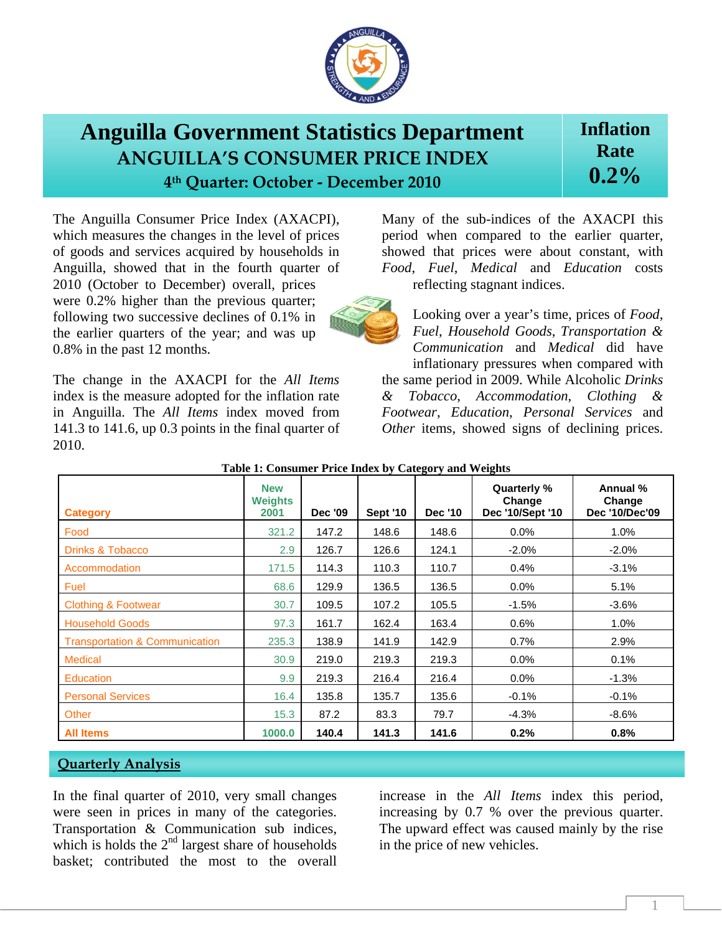

## **Anguilla Government Statistics Department ANGUILLA'S CONSUMER PRICE INDEX 4th Quarter: October ‐ December 2010**

## **Inflation Rate 0.2%**

The Anguilla Consumer Price Index (AXACPI), which measures the changes in the level of prices of goods and services acquired by households in Anguilla, showed that in the fourth quarter of 2010 (October to December) overall, prices were 0.2% higher than the previous quarter; following two successive declines of 0.1% in the earlier quarters of the year; and was up 0.8% in the past 12 months.

The change in the AXACPI for the *All Items* index is the measure adopted for the inflation rate in Anguilla. The *All Items* index moved from 141.3 to 141.6, up 0.3 points in the final quarter of 2010.

Many of the sub-indices of the AXACPI this period when compared to the earlier quarter, showed that prices were about constant, with *Food*, *Fuel*, *Medical* and *Education* costs reflecting stagnant indices.

Looking over a year's time, prices of *Food*, *Fuel*, *Household Goods*, *Transportation & Communication* and *Medical* did have inflationary pressures when compared with

the same period in 2009. While Alcoholic *Drinks & Tobacco*, *Accommodation*, *Clothing & Footwear*, *Education*, *Personal Services* and *Other* items, showed signs of declining prices.

| <b>Category</b>                           | <b>New</b><br><b>Weights</b><br>2001 | <b>Dec '09</b> | <b>Sept '10</b> | <b>Dec '10</b> | Quarterly %<br>Change<br>Dec '10/Sept '10 | Annual %<br>Change<br>Dec '10/Dec'09 |
|-------------------------------------------|--------------------------------------|----------------|-----------------|----------------|-------------------------------------------|--------------------------------------|
| Food                                      | 321.2                                | 147.2          | 148.6           | 148.6          | 0.0%                                      | 1.0%                                 |
| <b>Drinks &amp; Tobacco</b>               | 2.9                                  | 126.7          | 126.6           | 124.1          | $-2.0\%$                                  | $-2.0%$                              |
| Accommodation                             | 171.5                                | 114.3          | 110.3           | 110.7          | 0.4%                                      | $-3.1%$                              |
| Fuel                                      | 68.6                                 | 129.9          | 136.5           | 136.5          | 0.0%                                      | 5.1%                                 |
| <b>Clothing &amp; Footwear</b>            | 30.7                                 | 109.5          | 107.2           | 105.5          | $-1.5%$                                   | $-3.6%$                              |
| <b>Household Goods</b>                    | 97.3                                 | 161.7          | 162.4           | 163.4          | 0.6%                                      | 1.0%                                 |
| <b>Transportation &amp; Communication</b> | 235.3                                | 138.9          | 141.9           | 142.9          | 0.7%                                      | 2.9%                                 |
| <b>Medical</b>                            | 30.9                                 | 219.0          | 219.3           | 219.3          | 0.0%                                      | 0.1%                                 |
| <b>Education</b>                          | 9.9                                  | 219.3          | 216.4           | 216.4          | 0.0%                                      | $-1.3%$                              |
| <b>Personal Services</b>                  | 16.4                                 | 135.8          | 135.7           | 135.6          | $-0.1%$                                   | $-0.1%$                              |
| Other                                     | 15.3                                 | 87.2           | 83.3            | 79.7           | $-4.3%$                                   | $-8.6%$                              |
| <b>All Items</b>                          | 1000.0                               | 140.4          | 141.3           | 141.6          | 0.2%                                      | 0.8%                                 |

**Table 1: Consumer Price Index by Category and Weights** 

## **Quarterly Analysis**

In the final quarter of 2010, very small changes were seen in prices in many of the categories. Transportation & Communication sub indices, which is holds the  $2<sup>nd</sup>$  largest share of households basket; contributed the most to the overall

increase in the *All Items* index this period, increasing by 0.7 % over the previous quarter. The upward effect was caused mainly by the rise in the price of new vehicles.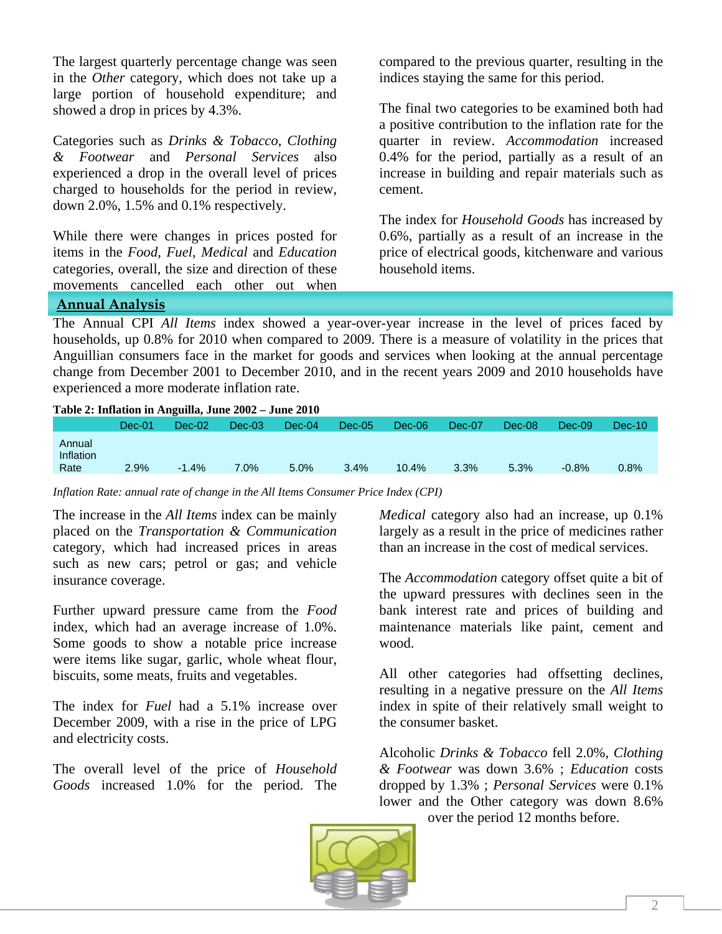The largest quarterly percentage change was seen in the *Other* category, which does not take up a large portion of household expenditure; and showed a drop in prices by 4.3%.

Categories such as *Drinks & Tobacco*, *Clothing & Footwear* and *Personal Services* also experienced a drop in the overall level of prices charged to households for the period in review, down 2.0%, 1.5% and 0.1% respectively.

While there were changes in prices posted for items in the *Food*, *Fuel*, *Medical* and *Education* categories, overall, the size and direction of these movements cancelled each other out when compared to the previous quarter, resulting in the indices staying the same for this period.

The final two categories to be examined both had a positive contribution to the inflation rate for the quarter in review. *Accommodation* increased 0.4% for the period, partially as a result of an increase in building and repair materials such as cement.

The index for *Household Goods* has increased by 0.6%, partially as a result of an increase in the price of electrical goods, kitchenware and various household items.

**Annual Analysis**

The Annual CPI *All Items* index showed a year-over-year increase in the level of prices faced by households, up 0.8% for 2010 when compared to 2009. There is a measure of volatility in the prices that Anguillian consumers face in the market for goods and services when looking at the annual percentage change from December 2001 to December 2010, and in the recent years 2009 and 2010 households have experienced a more moderate inflation rate.

| Table 2: Inflation in Anguilla, June 2002 – June 2010 |        |          |          |          |          |          |        |        |          |          |  |  |  |
|-------------------------------------------------------|--------|----------|----------|----------|----------|----------|--------|--------|----------|----------|--|--|--|
|                                                       | Dec-01 | $Dec-02$ | $Dec-03$ | $Dec-04$ | $Dec-05$ | $Dec-06$ | Dec-07 | Dec-08 | $Dec-09$ | $Dec-10$ |  |  |  |
| Annual<br>Inflation<br>Rate                           | 2.9%   | $-1.4%$  | 7.0%     | 5.0%     | 3.4%     | 10.4%    | 3.3%   | 5.3%   | $-0.8%$  | 0.8%     |  |  |  |

*Inflation Rate: annual rate of change in the All Items Consumer Price Index (CPI)*

The increase in the *All Items* index can be mainly placed on the *Transportation & Communication*  category, which had increased prices in areas such as new cars; petrol or gas; and vehicle insurance coverage.

Further upward pressure came from the *Food* index, which had an average increase of 1.0%. Some goods to show a notable price increase were items like sugar, garlic, whole wheat flour, biscuits, some meats, fruits and vegetables.

The index for *Fuel* had a 5.1% increase over December 2009, with a rise in the price of LPG and electricity costs.

The overall level of the price of *Household Goods* increased 1.0% for the period. The *Medical* category also had an increase, up 0.1% largely as a result in the price of medicines rather than an increase in the cost of medical services.

The *Accommodation* category offset quite a bit of the upward pressures with declines seen in the bank interest rate and prices of building and maintenance materials like paint, cement and wood.

All other categories had offsetting declines, resulting in a negative pressure on the *All Items* index in spite of their relatively small weight to the consumer basket.

Alcoholic *Drinks & Tobacco* fell 2.0%, *Clothing & Footwear* was down 3.6% ; *Education* costs dropped by 1.3% ; *Personal Services* were 0.1% lower and the Other category was down 8.6%

over the period 12 months before.